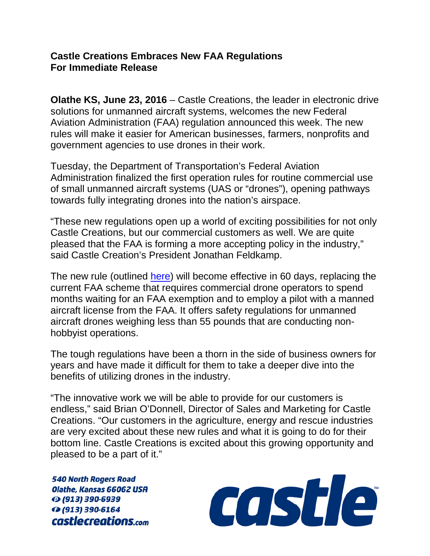## **Castle Creations Embraces New FAA Regulations For Immediate Release**

**Olathe KS, June 23, 2016** – Castle Creations, the leader in electronic drive solutions for unmanned aircraft systems, welcomes the new Federal Aviation Administration (FAA) regulation announced this week. The new rules will make it easier for American businesses, farmers, nonprofits and government agencies to use drones in their work.

Tuesday, the Department of Transportation's Federal Aviation Administration finalized the first operation rules for routine commercial use of small unmanned aircraft systems (UAS or "drones"), opening pathways towards fully integrating drones into the nation's airspace.

"These new regulations open up a world of exciting possibilities for not only Castle Creations, but our commercial customers as well. We are quite pleased that the FAA is forming a more accepting policy in the industry," said Castle Creation's President Jonathan Feldkamp.

The new rule (outlined [here\)](http://www.faa.gov/uas/media/Part_107_Summary.pdf) will become effective in 60 days, replacing the current FAA scheme that requires commercial drone operators to spend months waiting for an FAA exemption and to employ a pilot with a manned aircraft license from the FAA. It offers safety regulations for unmanned aircraft drones weighing less than 55 pounds that are conducting nonhobbyist operations.

The tough regulations have been a thorn in the side of business owners for years and have made it difficult for them to take a deeper dive into the benefits of utilizing drones in the industry.

"The innovative work we will be able to provide for our customers is endless," said Brian O'Donnell, Director of Sales and Marketing for Castle Creations. "Our customers in the agriculture, energy and rescue industries are very excited about these new rules and what it is going to do for their bottom line. Castle Creations is excited about this growing opportunity and pleased to be a part of it."

**540 North Rogers Road** Olathe, Kansas 66062 USA ⊙ (913) 390-6939 **12 (913) 390-6164** castlecreations.com